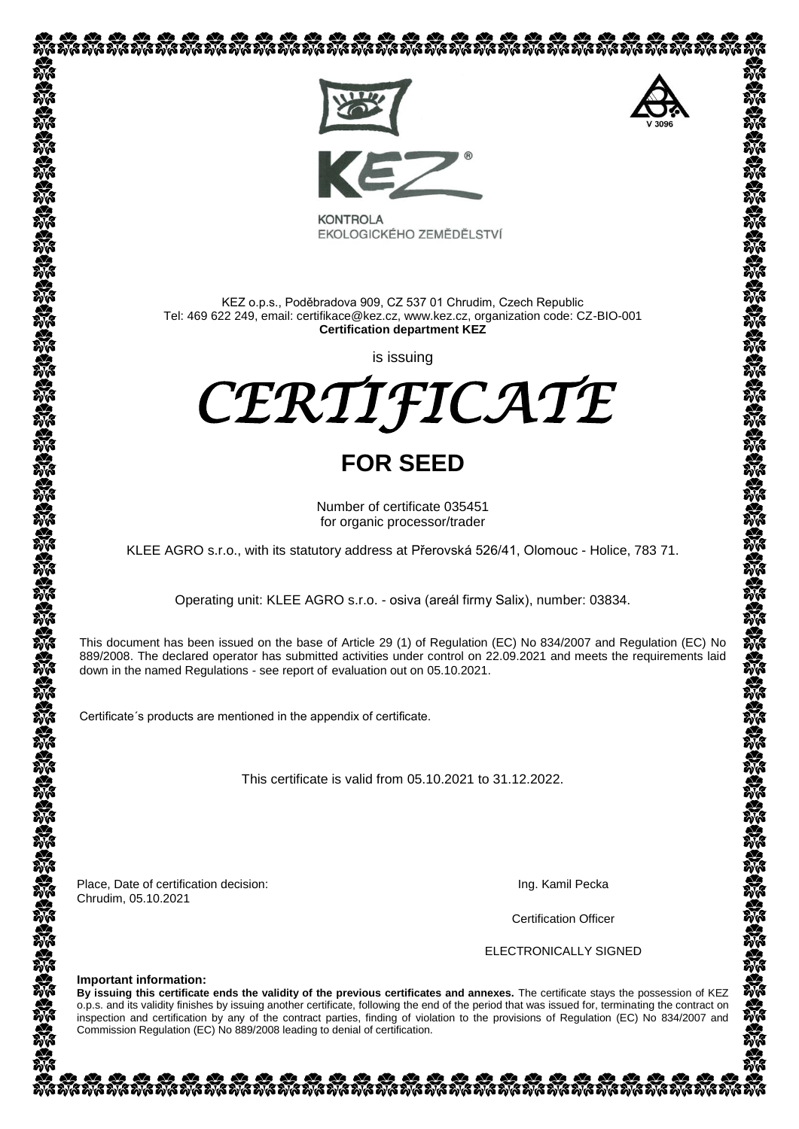

EKOLOGICKÉHO ZEMĚDĚLSTVÍ

KEZ o.p.s., Poděbradova 909, CZ 537 01 Chrudim, Czech Republic Tel: 469 622 249, email: certifikace@kez.cz, www.kez.cz, organization code: CZ-BIO-001 **Certification department KEZ**

is issuing

*CERTIFICATE* 

# **FOR SEED**

Number of certificate 035451 for organic processor/trader

KLEE AGRO s.r.o., with its statutory address at Přerovská 526/41, Olomouc - Holice, 783 71.

Operating unit: KLEE AGRO s.r.o. - osiva (areál firmy Salix), number: 03834.

This document has been issued on the base of Article 29 (1) of Regulation (EC) No 834/2007 and Regulation (EC) No 889/2008. The declared operator has submitted activities under control on 22.09.2021 and meets the requirements laid down in the named Regulations - see [report of](http://slovnik.seznam.cz/search.py?lg=en_cz&wd=reports%20of) evaluation out on 05.10.2021.

Certificate´s products are mentioned in the appendix of certificate.

This certificate is valid from 05.10.2021 to 31.12.2022.

Place, Date of certification decision: Chrudim, 05.10.2021

Ing. Kamil Pecka

Certification Officer

ELECTRONICALLY SIGNED

#### **Important information:**

**By issuing this certificate ends the validity of the previous certificates and annexes.** The certificate stays the possession of KEZ o.p.s. and its validity finishes by issuing another certificate, following the end of the period that was issued for, terminating the contract on inspection and certification by any of the contract parties, finding of violation to the provisions of Regulation (EC) No 834/2007 and Commission Regulation (EC) No 889/2008 leading to denial of certification.